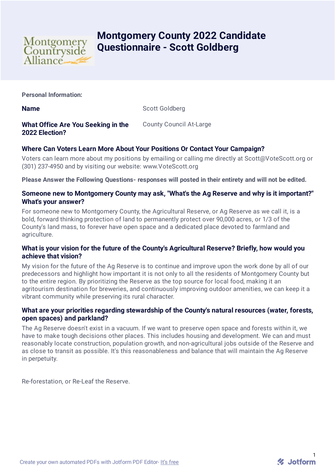

# **Montgomery County 2022 Candidate Questionnaire - Scott Goldberg**

**Personal Information:**

**Name** Scott Goldberg

# **What Office Are You Seeking in the 2022 Election?**

County Council At-Large

# **Where Can Voters Learn More About Your Positions Or Contact Your Campaign?**

Voters can learn more about my positions by emailing or calling me directly at Scott@VoteScott.org or (301) 237-4950 and by visiting our website: www.VoteScott.org

**Please Answer the Following Questions- responses will posted in their entirety and will not be edited.**

#### **Someone new to Montgomery County may ask, "What's the Ag Reserve and why is it important?" What's your answer?**

For someone new to Montgomery County, the Agricultural Reserve, or Ag Reserve as we call it, is a bold, forward thinking protection of land to permanently protect over 90,000 acres, or 1/3 of the County's land mass, to forever have open space and a dedicated place devoted to farmland and agriculture.

#### **What is your vision for the future of the County's Agricultural Reserve? Briefly, how would you achieve that vision?**

My vision for the future of the Ag Reserve is to continue and improve upon the work done by all of our predecessors and highlight how important it is not only to all the residents of Montgomery County but to the entire region. By prioritizing the Reserve as the top source for local food, making it an agritourism destination for breweries, and continuously improving outdoor amenities, we can keep it a vibrant community while preserving its rural character.

## **What are your priorities regarding stewardship of the County's natural resources (water, forests, open spaces) and parkland?**

The Ag Reserve doesn't exist in a vacuum. If we want to preserve open space and forests within it, we have to make tough decisions other places. This includes housing and development. We can and must reasonably locate construction, population growth, and non-agricultural jobs outside of the Reserve and as close to transit as possible. It's this reasonableness and balance that will maintain the Ag Reserve in perpetuity.

Re-forestation, or Re-Leaf the Reserve.

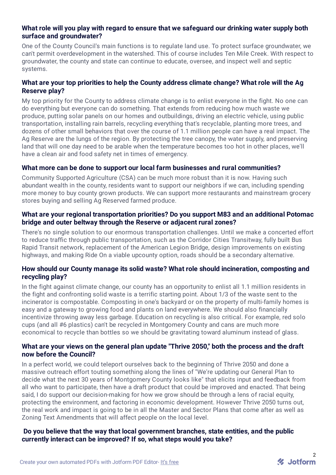#### **What role will you play with regard to ensure that we safeguard our drinking water supply both surface and groundwater?**

One of the County Council's main functions is to regulate land use. To protect surface groundwater, we can't permit overdevelopment in the watershed. This of course includes Ten Mile Creek. With respect to groundwater, the county and state can continue to educate, oversee, and inspect well and septic systems.

## **What are your top priorities to help the County address climate change? What role will the Ag Reserve play?**

My top priority for the County to address climate change is to enlist everyone in the fight. No one can do everything but everyone can do something. That extends from reducing how much waste we produce, putting solar panels on our homes and outbuildings, driving an electric vehicle, using public transportation, installing rain barrels, recycling everything that's recyclable, planting more trees, and dozens of other small behaviors that over the course of 1.1 million people can have a real impact. The Ag Reserve are the lungs of the region. By protecting the tree canopy, the water supply, and preserving land that will one day need to be arable when the temperature becomes too hot in other places, we'll have a clean air and food safety net in times of emergency.

## **What more can be done to support our local farm businesses and rural communities?**

Community Supported Agriculture (CSA) can be much more robust than it is now. Having such abundant wealth in the county, residents want to support our neighbors if we can, including spending more money to buy county grown products. We can support more restaurants and mainstream grocery stores buying and selling Ag Reserved farmed produce.

#### **What are your regional transportation priorities? Do you support M83 and an additional Potomac bridge and outer beltway through the Reserve or adjacent rural zones?**

There's no single solution to our enormous transportation challenges. Until we make a concerted effort to reduce traffic through public transportation, such as the Corridor Cities Transitway, fully built Bus Rapid Transit network, replacement of the American Legion Bridge, design improvements on existing highways, and making Ride On a viable upcounty option, roads should be a secondary alternative.

#### **How should our County manage its solid waste? What role should incineration, composting and recycling play?**

In the fight against climate change, our county has an opportunity to enlist all 1.1 million residents in the fight and confronting solid waste is a terrific starting point. About 1/3 of the waste sent to the incinerator is compostable. Composting in one's backyard or on the property of multi-family homes is easy and a gateway to growing food and plants on land everywhere. We should also financially incentivize throwing away less garbage. Education on recycling is also critical. For example, red solo cups (and all #6 plastics) can't be recycled in Montgomery County and cans are much more economical to recycle than bottles so we should be gravitating toward aluminum instead of glass.

## **What are your views on the general plan update "Thrive 2050," both the process and the draft now before the Council?**

In a perfect world, we could teleport ourselves back to the beginning of Thrive 2050 and done a massive outreach effort touting something along the lines of "We're updating our General Plan to decide what the next 30 years of Montgomery County looks like" that elicits input and feedback from all who want to participate, then have a draft product that could be improved and enacted. That being said, I do support our decision-making for how we grow should be through a lens of racial equity, protecting the environment, and factoring in economic development. However Thrive 2050 turns out, the real work and impact is going to be in all the Master and Sector Plans that come after as well as Zoning Text Amendments that will affect people on the local level.

**Do you believe that the way that local government branches, state entities, and the public currently interact can be improved? If so, what steps would you take?**